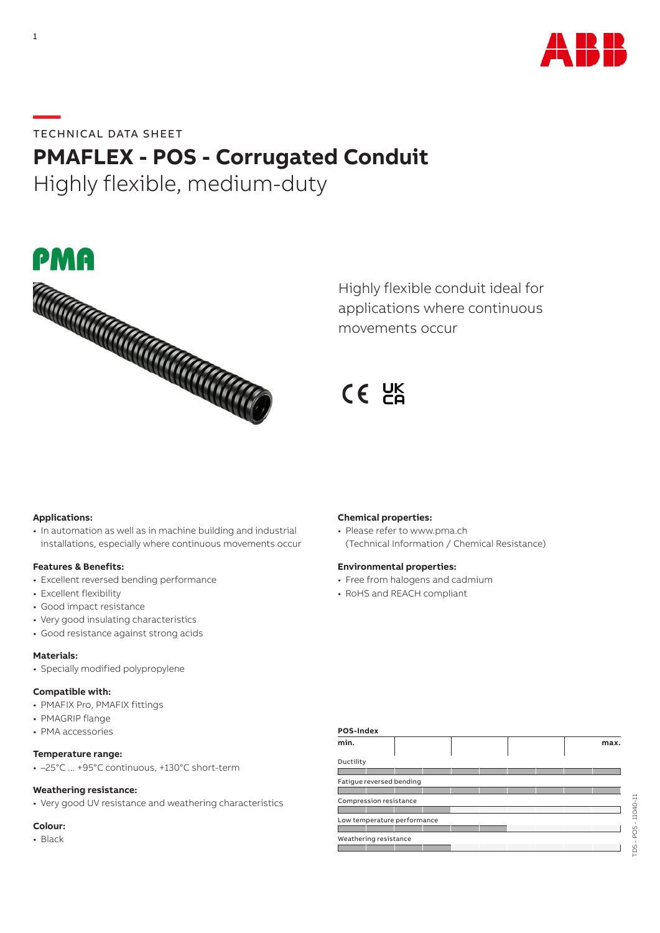

**—**TECHNICAL DATA SHEET

# **PMAFLEX - POS - Corrugated Conduit**

Highly flexible, medium-duty



Highly flexible conduit ideal for applications where continuous movements occur

CE UK

## **Applications:**

• In automation as well as in machine building and industrial installations, especially where continuous movements occur

### **Features & Benefits:**

- Excellent reversed bending performance
- Excellent flexibility
- Good impact resistance
- Very good insulating characteristics
- Good resistance against strong acids

### **Materials:**

• Specially modified polypropylene

# **Compatible with:**

- PMAFIX Pro, PMAFIX fittings
- PMAGRIP flange
- PMA accessories

### **Temperature range:**

• –25°C ... +95°C continuous, +130°C short-term

#### **Weathering resistance:**

• Very good UV resistance and weathering characteristics

## **Colour:**

• Black

### **Chemical properties:**

• Please refer to www.pma.ch (Technical Information / Chemical Resistance)

#### **Environmental properties:**

- Free from halogens and cadmium
- RoHS and REACH compliant

| POS-Index              |                             |  |  |      |
|------------------------|-----------------------------|--|--|------|
| min.                   |                             |  |  | max. |
| Ductility              |                             |  |  |      |
|                        |                             |  |  |      |
|                        | Fatigue reversed bending    |  |  |      |
|                        |                             |  |  |      |
| Compression resistance |                             |  |  |      |
|                        |                             |  |  |      |
|                        | Low temperature performance |  |  |      |
|                        |                             |  |  |      |
| Weathering resistance  |                             |  |  |      |
|                        |                             |  |  |      |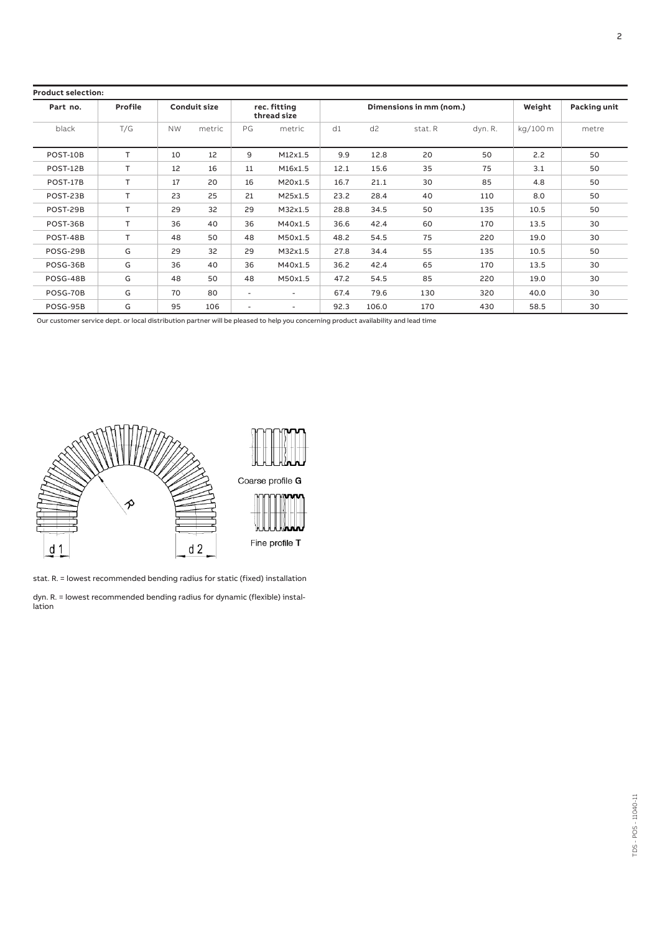| <b>Product selection:</b> |         |           |                     |        |                             |                         |                |         |         |                     |       |
|---------------------------|---------|-----------|---------------------|--------|-----------------------------|-------------------------|----------------|---------|---------|---------------------|-------|
| Part no.                  | Profile |           | <b>Conduit size</b> |        | rec. fitting<br>thread size | Dimensions in mm (nom.) |                |         | Weight  | <b>Packing unit</b> |       |
| black                     | T/G     | <b>NW</b> | metric              | PG     | metric                      | d1                      | d <sub>2</sub> | stat. R | dyn. R. | kg/100 m            | metre |
| POST-10B                  | T       | 10        | 12                  | 9      | M12x1.5                     | 9.9                     | 12.8           | 20      | 50      | 2.2                 | 50    |
| POST-12B                  | т       | 12        | 16                  | 11     | M16x1.5                     | 12.1                    | 15.6           | 35      | 75      | 3.1                 | 50    |
| POST-17B                  | T.      | 17        | 20                  | 16     | M20x1.5                     | 16.7                    | 21.1           | 30      | 85      | 4.8                 | 50    |
| POST-23B                  | т       | 23        | 25                  | 21     | M25x1.5                     | 23.2                    | 28.4           | 40      | 110     | 8.0                 | 50    |
| POST-29B                  | T.      | 29        | 32                  | 29     | M32x1.5                     | 28.8                    | 34.5           | 50      | 135     | 10.5                | 50    |
| POST-36B                  | T       | 36        | 40                  | 36     | M40x1.5                     | 36.6                    | 42.4           | 60      | 170     | 13.5                | 30    |
| POST-48B                  | T.      | 48        | 50                  | 48     | M50x1.5                     | 48.2                    | 54.5           | 75      | 220     | 19.0                | 30    |
| POSG-29B                  | G       | 29        | 32                  | 29     | M32x1.5                     | 27.8                    | 34.4           | 55      | 135     | 10.5                | 50    |
| POSG-36B                  | G       | 36        | 40                  | 36     | M40x1.5                     | 36.2                    | 42.4           | 65      | 170     | 13.5                | 30    |
| POSG-48B                  | G       | 48        | 50                  | 48     | M50x1.5                     | 47.2                    | 54.5           | 85      | 220     | 19.0                | 30    |
| POSG-70B                  | G       | 70        | 80                  | $\sim$ | $\overline{\phantom{a}}$    | 67.4                    | 79.6           | 130     | 320     | 40.0                | 30    |
| POSG-95B                  | G       | 95        | 106                 | $\sim$ | ٠                           | 92.3                    | 106.0          | 170     | 430     | 58.5                | 30    |

Our customer service dept. or local distribution partner will be pleased to help you concerning product availability and lead time



stat. R. = lowest recommended bending radius for static (fixed) installation

dyn. R. = lowest recommended bending radius for dynamic (flexible) installation